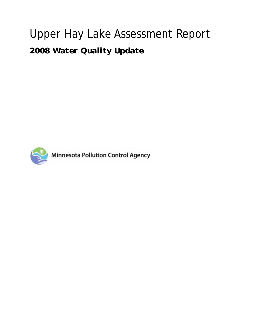# Upper Hay Lake Assessment Report

*2008 Water Quality Update*



**Minnesota Pollution Control Agency**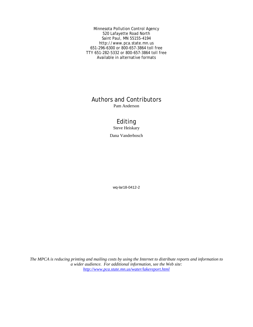Minnesota Pollution Control Agency 520 Lafayette Road North Saint Paul, MN 55155-4194 http://www.pca.state.mn.us 651-296-6300 or 800-657-3864 toll free TTY 651-282-5332 or 800-657-3864 toll free Available in alternative formats

## Authors and Contributors

Pam Anderson

## Editing

Steve Heiskary

Dana Vanderbosch

wq-lar18-0412-2

*The MPCA is reducing printing and mailing costs by using the Internet to distribute reports and information to a wider audience. For additional information, see the Web site: http://www.pca.state.mn.us/water/lakereport.html*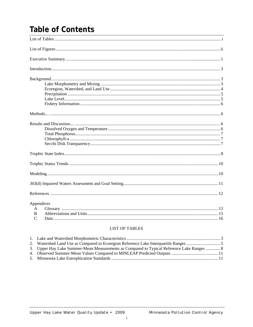## **Table of Contents**

| Appendices<br>$\mathbf{A}$<br>B<br>C |  |
|--------------------------------------|--|

### **LIST OF TABLES**

| 3. Upper Hay Lake Summer-Mean Measurements as Compared to Typical Reference Lake Ranges  8 |  |
|--------------------------------------------------------------------------------------------|--|
|                                                                                            |  |
|                                                                                            |  |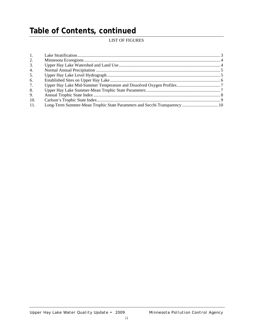## **Table of Contents, continued**

## LIST OF FIGURES

| 1.  |  |
|-----|--|
| 2.  |  |
| 3.  |  |
| 4.  |  |
| 5.  |  |
| 6.  |  |
| 7.  |  |
| 8.  |  |
| 9.  |  |
| 10. |  |
| 11. |  |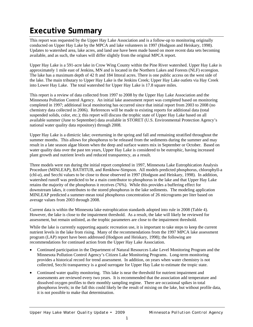## **Executive Summary**

This report was requested by the Upper Hay Lake Association and is a follow-up to monitoring originally conducted on Upper Hay Lake by the MPCA and lake volunteers in 1997 (Hodgson and Heiskary, 1998). Updates to watershed area, lake acres, and land use have been made based on more recent data sets becoming available, and as such, the values will differ slightly from the original MPCA report.

Upper Hay Lake is a 591-acre lake in Crow Wing County within the Pine River watershed. Upper Hay Lake is approximately 1 mile east of Jenkins, MN and is located in the Northern Lakes and Forests (NLF) ecoregion. The lake has a maximum depth of 42 ft and 184 littoral acres. There is one public access on the west side of the lake. The main tributary to Upper Hay Lake is the Jenkins Creek; Upper Hay Lake outlets via Hay Creek into Lower Hay Lake. The total watershed for Upper Hay Lake is 17.8 square miles.

This report is a review of data collected from 1997 to 2008 by the Upper Hay Lake Association and the Minnesota Pollution Control Agency. An initial lake assessment report was completed based on monitoring completed in 1997; additional local monitoring has occurred since that initial report from 2003 to 2008 (no chemistry data collected in 2006). References will be made to existing reports for additional data (total suspended solids, color, etc.); this report will discuss the trophic state of Upper Hay Lake based on all available summer (June to September) data available in STORET (U.S. Environmental Protection Agency's national water quality data repository) through 2008.

Upper Hay Lake is a dimictic lake; overturning in the spring and fall and remaining stratified throughout the summer months. This allows for phosphorus to be released from the sediments during the summer and may result in a late season algae bloom when the deep and surface waters mix in September or October. Based on water quality data over the past ten years, Upper Hay Lake is considered to be eutrophic, having increased plant growth and nutrient levels and reduced transparency, as a result.

Three models were run during the initial report completed in 1997, Minnesota Lake Eutrophication Analysis Procedure (MINLEAP), BATHTUB, and Renkhow-Simpson. All models predicted phosphorus, chlorophyll-a (chl-*a*), and Secchi values to be close to those observed in 1997 (Hodgson and Heiskary, 1998). In addition, watershed runoff was predicted to be a main contributor to phosphorus in the lake and that Upper Hay Lake retains the majority of the phosphorus it receives (76%). While this provides a buffering effect for downstream lakes, it contributes to the stored phosphorus in the lake sediments. The modeling application MINLEAP predicted a summer-mean total phosphorus concentration of 26 micrograms per liter based on average values from 2003 through 2008.

Current data is within the Minnesota lake eutrophication standards adopted into rule in 2008 (Table 4). However, the lake is close to the impairment threshold. As a result, the lake will likely be reviewed for assessment, but remain unlisted, as the trophic parameters are close to the impairment threshold.

While the lake is currently supporting aquatic recreation use, it is important to take steps to keep the current nutrient levels in the lake from rising. Many of the recommendations from the 1997 MPCA lake assessment program (LAP) report have been addressed (Hodgson and Heiskary, 1998); the following are recommendations for continued action from the Upper Hay Lake Association.

- Continued participation in the Department of Natural Resources Lake Level Monitoring Program and the Minnesota Pollution Control Agency's Citizen Lake Monitoring Programs. Long-term monitoring provides a historical record for trend assessment. In addition, on years when water chemistry is not collected, Secchi transparency is a good surrogate for Upper Hay Lake to estimate the tropic state.
- Continued water quality monitoring. This lake is near the threshold for nutrient impairment and assessments are reviewed every two years. It is recommended that the association add temperature and dissolved oxygen profiles to their monthly sampling regime. There are occasional spikes in total phosphorus levels; in the fall this could likely be the result of mixing on the lake, but without profile data, it is not possible to make that determination.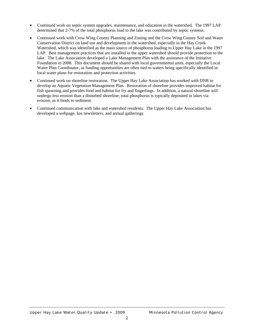- Continued work on septic system upgrades, maintenance, and education in the watershed. The 1997 LAP determined that 2-7% of the total phosphorus load to the lake was contributed by septic systems.
- Continued work with Crow Wing County Planning and Zoning and the Crow Wing County Soil and Water Conservation District on land use and development in the watershed, especially in the Hay Creek Watershed, which was identified as the main source of phosphorus loading to Upper Hay Lake in the 1997 LAP. Best management practices that are installed in the upper watershed should provide protection to the lake. The Lake Association developed a Lake Management Plan with the assistance of the Initiative Foundation in 2008. This document should be shared with local governmental units, especially the Local Water Plan Coordinator, as funding opportunities are often tied to waters being specifically identified in local water plans for restoration and protection activities.
- Continued work on shoreline restoration. The Upper Hay Lake Association has worked with DNR to develop an Aquatic Vegetation Management Plan. Restoration of shoreline provides improved habitat for fish spawning and provides food and habitat for fry and fingerlings. In addition, a natural shoreline will undergo less erosion than a disturbed shoreline; total phosphorus is typically deposited in lakes via erosion, as it binds to sediment.
- Continued communication with lake and watershed residents. The Upper Hay Lake Association has developed a webpage, has newsletters, and annual gatherings.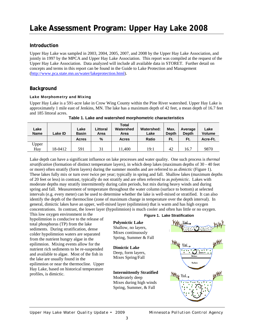## **Lake Assessment Program: Upper Hay Lake 2008**

### **Introduction**

Upper Hay Lake was sampled in 2003, 2004, 2005, 2007, and 2008 by the Upper Hay Lake Association, and jointly in 1997 by the MPCA and Upper Hay Lake Association. This report was compiled at the request of the Upper Hay Lake Association. Data analyzed will include all available data in STORET. Further detail on concepts and terms in this report can be found in the Guide to Lake Protection and Management (http://www.pca.state.mn.us/water/lakeprotection.html).

### **Background**

#### Lake Morphometry and Mixing

Upper Hay Lake is a 591-acre lake in Crow Wing County within the Pine River watershed. Upper Hay Lake is approximately 1 mile east of Jenkins, MN. The lake has a maximum depth of 42 feet, a mean depth of 16.7 feet and 185 littoral acres.

| Lake<br><b>Name</b> | Lake ID | Lake<br><b>Basin</b> | ∟ittoral<br>Area | Total<br>Watershed<br>Area | <b>Watershed:</b><br>Lake | Max.<br><b>Depth</b> | Average<br><b>Depth</b> | Lake<br><b>Volume</b> |
|---------------------|---------|----------------------|------------------|----------------------------|---------------------------|----------------------|-------------------------|-----------------------|
|                     |         | Acres                | %                | <b>Acres</b>               | Ratio                     | Ft.                  | Ft.                     | Acre-Ft.              |
| Upper               |         |                      |                  |                            |                           |                      |                         |                       |
| Hay                 | 18-0412 | 591                  | 31               | 11,400                     | 19:1                      | 42                   | 16.7                    | 9870                  |

**Table 1. Lake and watershed morphometric characteristics** 

Lake depth can have a significant influence on lake processes and water quality. One such process is *thermal stratification* (formation of distinct temperature layers), in which deep lakes (maximum depths of 30 - 40 feet or more) often stratify (form layers) during the summer months and are referred to as *dimictic* (Figure 1). These lakes fully mix or turn over twice per year; typically in spring and fall. Shallow lakes (maximum depths of 20 feet or less) in contrast, typically do not stratify and are often referred to as *polymictic*. Lakes with moderate depths may stratify intermittently during calm periods, but mix during heavy winds and during spring and fall. Measurement of temperature throughout the water column (surface to bottom) at selected intervals (e.g. every meter) can be used to determine whether the lake is well-mixed or stratified. It can also identify the depth of the thermocline (zone of maximum change in temperature over the depth interval). In general, dimictic lakes have an upper, well-mixed layer (epilimnion) that is warm and has high oxygen concentrations. In contrast, the lower layer (hypolimnion) is much cooler and often has little or no oxygen.

This low oxygen environment in the hypolimnion is conducive to the release of total phosphorus (TP) from the lake sediments. During stratification, dense colder hypolimnion waters are separated from the nutrient hungry algae in the epilimnion. Mixing events allow for the nutrient rich sediments to be re-suspended and available to algae. Most of the fish in the lake are usually found in the epilimnion or near the thermocline. Upper Hay Lake, based on historical temperature profiles, is dimictic.

#### **Figure 1. Lake Stratification**

**Polymictic Lake**  Shallow, no layers, Mixes continuously Spring, Summer & Fall

## **Dimictic Lake**

Deep, form layers, Mixes Spring/Fall

## **Intermittently Stratified**

Moderately deep Mixes during high winds Spring, Summer, & Fall

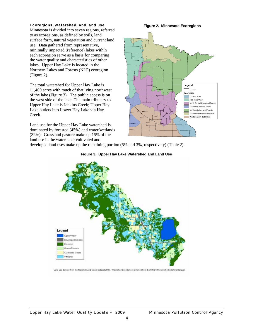#### Ecoregions, watershed, and land use

Minnesota is divided into seven regions, referred to as ecoregions, as defined by soils, land surface form, natural vegetation and current land use. Data gathered from representative, minimally impacted (reference) lakes within each ecoregion serve as a basis for comparing the water quality and characteristics of other lakes. Upper Hay Lake is located in the Northern Lakes and Forests (NLF) ecoregion (Figure 2).

The total watershed for Upper Hay Lake is 11,400 acres with much of that lying northwest of the lake (Figure 3). The public access is on the west side of the lake. The main tributary to Upper Hay Lake is Jenkins Creek; Upper Hay Lake outlets into Lower Hay Lake via Hay Creek.

Land use for the Upper Hay Lake watershed is dominated by forested (45%) and water/wetlands (32%). Grass and pasture make up 15% of the land use in the watershed; cultivated and

**Figure 2. Minnesota Ecoregions** 



developed land uses make up the remaining portion (5% and 3%, respectively) (Table 2).





Land use derived from the National Land Cover Dataset 2001. Watershed boundary determined from the MN DNR watershed catchments layer.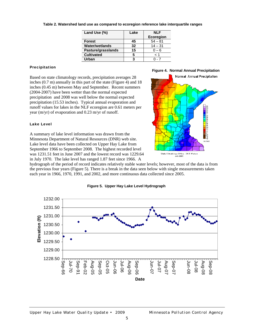| Land Use (%)          | Lake | <b>NLF</b>       |
|-----------------------|------|------------------|
|                       |      | <b>Ecoregion</b> |
| <b>Forest</b>         | 45   | $54 - 81$        |
| <b>Water/wetlands</b> | 32   | $14 - 31$        |
| Pasture/grasslands    | 15   | $0 - 6$          |
| <b>Cultivated</b>     | 5    | 1 >              |
| Urban                 | ?    |                  |

#### **Table 2. Watershed land use as compared to ecoregion reference lake interquartile ranges**

#### Precipitation

Based on state climatology records, precipitation averages 28 inches (0.7 m) annually in this part of the state (Figure 4) and 18 inches (0.45 m) between May and September. Recent summers (2004-2007) have been wetter than the normal expected precipitation and 2008 was well below the normal expected precipitation (15.53 inches). Typical annual evaporation and runoff values for lakes in the NLF ecoregion are 0.61 meters per year (m/yr) of evaporation and 0.23 m/yr of runoff.

#### Lake Level

A summary of lake level information was drawn from the Minnesota Department of Natural Resources (DNR) web site. Lake level data have been collected on Upper Hay Lake from September 1966 to September 2008. The highest recorded level was 1231.51 feet in June 2007 and the lowest record was 1229.64 in July 1970. The lake level has ranged 1.87 feet since 1966. A

hydrograph of the period of record indicates relatively stable water levels; however, most of the data is from the previous four years (Figure 5). There is a break in the data seen below with single measurements taken each year in 1966, 1970, 1991, and 2002, and more continuous data collected since 2005.



#### **Figure 5. Upper Hay Lake Level Hydrograph**

**Figure 4. Normal Annual Precipitation**

State Climatology Office - DNR Waters<br>July 2003

Normal Annual Precipitation

in che: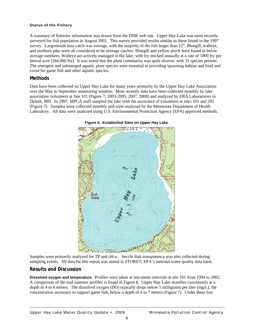#### Status of the Fishery

A summary of fisheries information was drawn from the DNR web site. Upper Hay Lake was most recently surveyed for fish population in August 2002. This survey provided results similar to those found in the 1997 survey. Largemouth bass catch was average, with the majority of the fish larger than 12". Bluegill, walleye, and northern pike were all considered to be average catches. Bluegill and yellow perch were found in below average numbers. Walleye are actively managed in the lake, with fry stocked annually at a rate of 1000 fry per littoral acre (184,000 fry). It was noted that the plant community was quite diverse, with 31 species present. The emergent and submerged aquatic plant species were essential to providing spawning habitat and food and cover for game fish and other aquatic species.

### **Methods**

Data have been collected on Upper Hay Lake for many years primarily by the Upper Hay Lake Association over the May to September monitoring window. Most recently data have been collected monthly by lake association volunteers at Site 101 (Figure 7; 2003-2005, 2007, 2008) and analyzed by ERA Laboratories in Duluth, MN. In 1997, MPCA staff sampled the lake with the assistance of volunteers at sites 101 and 201 (Figure 7). Samples were collected monthly and were analyzed by the Minnesota Department of Health Laboratory. All data were analyzed using U.S. Environmental Protection Agency (EPA) approved methods.





Samples were primarily analyzed for TP and chl-*a* . Secchi disk transparency was also collected during sampling events. All data for this report was stored in STORET, EPA's national water quality data bank.

### **Results and Discussion**

**Dissolved oxygen and temperature.** Profiles were taken at one-meter intervals at site 101 from 1994 to 2002. A comparison of the mid-summer profiles is found in Figure 8. Upper Hay Lake stratifies consistently at a depth of 4 to 6 meters. The dissolved oxygen (DO) typically drops below 5 milligrams per liter (mg/L), the concentration necessary to support game fish, below a depth of 4 to 7 meters (Figure 7). Under these low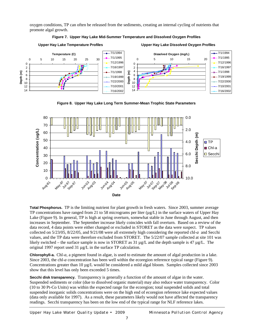oxygen conditions, TP can often be released from the sediments, creating an internal cycling of nutrients that promote algal growth.

#### **Figure 7. Upper Hay Lake Mid-Summer Temperature and Dissolved Oxygen Profiles**



**Upper Hay Lake Dissolved Oxygen Profiles**



**Figure 8. Upper Hay Lake Long Term Summer-Mean Trophic State Parameters** 



**Total Phosphorus.** TP is the limiting nutrient for plant growth in fresh waters. Since 2003, summer average TP concentrations have ranged from 21 to 58 micrograms per liter (µg/L) in the surface waters of Upper Hay Lake (Figure 9). In general, TP is high at spring overturn, somewhat stable in June through August, and then increases in September. The September increase likely coincides with fall overturn. Based on a review of the data record, 4 data points were either changed or excluded in STORET as the data were suspect. TP values collected on 5/23/05, 8/22/05, and 9/21/08 were all extremely high considering the reported chl-*a* and Secchi values, and the TP data were therefore excluded from STORET. The 5/22/07 sample collected at site 101 was likely switched – the surface sample is now in STORET as 31 µg/L and the depth sample is 47 µg/L. The original 1997 report used 31 µg/L in the surface TP calculation.

**Chlorophyll-a.** Chl-*a*, a pigment found in algae, is used to estimate the amount of algal production in a lake. Since 2003, the chl-*a* concentration has been well within the ecoregion reference typical range (Figure 9). Concentrations greater than 10 µg/L would be considered a mild algal bloom. Samples collected since 2003 show that this level has only been exceeded 5 times.

**Secchi disk transparency.** Transparency is generally a function of the amount of algae in the water. Suspended sediments or color (due to dissolved organic material) may also reduce water transparency. Color (10 to 30 Pt-Co Units) was within the expected range for the ecoregion; total suspended solids and total suspended inorganic solids concentrations were on the high end of ecoregion reference lake expected values (data only available for 1997). As a result, these parameters likely would not have affected the transparency readings. Secchi transparency has been on the low end of the typical range for NLF reference lakes.

*Upper Hay Lake Water Quality Update • 2009 Minnesota Pollution Control Agency*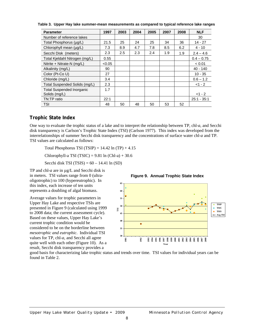| <b>Parameter</b>                                  | 1997   | 2003 | 2004 | 2005 | 2007 | 2008 | <b>NLF</b>    |
|---------------------------------------------------|--------|------|------|------|------|------|---------------|
| Number of reference lakes                         |        |      |      |      |      |      | 30            |
| Total Phosphorus (µg/L)                           | 21.5   | 25   | 24   | 25   | 34   | 36   | $14 - 27$     |
| Chlorophyll mean (µg/L)                           | 7.3    | 8.9  | 4.7  | 7.8  | 8.5  | 6.2  | $4 - 10$      |
| Secchi Disk (meters)                              | 2.3    | 2.5  | 2.3  | 2.4  | 1.9  | 1.9  | $2.4 - 4.6$   |
| Total Kjeldahl Nitrogen (mg/L)                    | 0.55   |      |      |      |      |      | $0.4 - 0.75$  |
| Nitrite + Nitrate-N (mg/L)                        | < 0.05 |      |      |      |      |      | < 0.01        |
| Alkalinity (mg/L)                                 | 90     |      |      |      |      |      | $40 - 140$    |
| Color (Pt-Co U)                                   | 27     |      |      |      |      |      | $10 - 35$     |
| Chloride (mg/L)                                   | 3.4    |      |      |      |      |      | $0.6 - 1.2$   |
| Total Suspended Solids (mg/L)                     | 2.3    |      |      |      |      |      | $<1 - 2$      |
| <b>Total Suspended Inorganic</b><br>Solids (mg/L) | 1.7    |      |      |      |      |      | $<1 - 2$      |
| TN:TP ratio                                       | 22:1   |      |      |      |      |      | $25:1 - 35:1$ |
| <b>TSI</b>                                        | 48     | 50   | 48   | 50   | 53   | 52   |               |

**Table 3. Upper Hay lake summer-mean measurements as compared to typical reference lake ranges** 

### **Trophic State Index**

One way to evaluate the trophic status of a lake and to interpret the relationship between TP, chl-*a*, and Secchi disk transparency is Carlson's Trophic State Index (TSI) (Carlson 1977). This index was developed from the interrelationships of summer Secchi disk transparency and the concentrations of surface water chl-*a* and TP. TSI values are calculated as follows:

Total Phosphorus TSI (TSIP) =  $14.42 \ln(T) + 4.15$ 

Chlorophyll-a TSI (TSIC) =  $9.81 \ln$  (Chl-a) + 30.6

Secchi disk TSI  $(TSIS) = 60 - 14.41 \ln(SD)$ 

TP and chl-*a* are in  $\mu$ g/L and Secchi disk is in meters. TSI values range from 0 (ultraoligotrophic) to 100 (hypereutrophic). In this index, each increase of ten units represents a doubling of algal biomass.

Average values for trophic parameters in Upper Hay Lake and respective TSIs are presented in Figure 9 (calculated using 1999 to 2008 data; the current assessment cycle). Based on these values, Upper Hay Lake's current trophic condition would be considered to be on the borderline between *mesotrophic and eutrophic*. Individual TSI values for TP, chl-*a*, and Secchi all agree quite well with each other (Figure 10). As a result, Secchi disk transparency provides a

**Figure 9. Annual Trophic State Index** 



good basis for characterizing lake trophic status and trends over time. TSI values for individual years can be found in Table 2.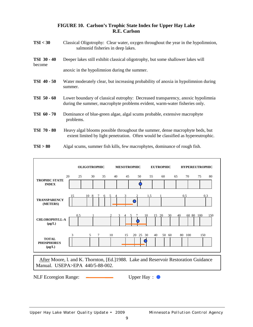### **FIGURE 10. Carlson's Trophic State Index for Upper Hay Lake R.E. Carlson**

- **TSI < 30** Classical Oligotrophy: Clear water, oxygen throughout the year in the hypolimnion, salmonid fisheries in deep lakes. **TSI 30 - 40** Deeper lakes still exhibit classical oligotrophy, but some shallower lakes will become anoxic in the hypolimnion during the summer. **TSI 40 - 50** Water moderately clear, but increasing probability of anoxia in hypolimnion during summer. **TSI 50 - 60** Lower boundary of classical eutrophy: Decreased transparency, anoxic hypolimnia during the summer, macrophyte problems evident, warm-water fisheries only. **TSI 60 - 70** Dominance of blue-green algae, algal scums probable, extensive macrophyte problems. **TSI 70 - 80** Heavy algal blooms possible throughout the summer, dense macrophyte beds, but extent limited by light penetration. Often would be classified as hypereutrophic.
- **TSI > 80** Algal scums, summer fish kills, few macrophytes, dominance of rough fish.

|                                                                                                                        |    |      | <b>OLIGOTROPHIC</b> |    | <b>MESOTROPHIC</b> |                      |     | <b>EUTROPHIC</b> |    | <b>HYPEREUTROPHIC</b> |           |     |
|------------------------------------------------------------------------------------------------------------------------|----|------|---------------------|----|--------------------|----------------------|-----|------------------|----|-----------------------|-----------|-----|
| <b>TROPHIC STATE</b><br><b>INDEX</b>                                                                                   | 20 | 25   | 30                  | 35 | 40<br>45           | 50                   | 55  | 60               | 65 | 70                    | 75        | 80  |
| <b>TRANSPARENCY</b><br>(METERS)                                                                                        | 15 | 10 8 |                     | 6  |                    | 0                    | 1.5 |                  |    | 0.5                   | 0.3       |     |
| <b>CHLOROPHYLL-A</b><br>$(\mu g/L)$                                                                                    |    | 0.5  |                     |    |                    |                      | 10  | 30<br>20<br>15   | 40 |                       | 60 80 100 | 150 |
| <b>TOTAL</b><br><b>PHOSPHORUS</b><br>$(\mu g/L)$                                                                       | 3  | 5    | 7                   | 10 | 15                 | 20 25 30             |     | 40<br>50 60      |    | 80 100                | 150       |     |
| After Moore, l. and K. Thornton, [Ed.]1988. Lake and Reservoir Restoration Guidance<br>Manual. USEPA>EPA 440/5-88-002. |    |      |                     |    |                    |                      |     |                  |    |                       |           |     |
| <b>NLF</b> Ecoregion Range:                                                                                            |    |      |                     |    |                    | Upper Hay: $\bullet$ |     |                  |    |                       |           |     |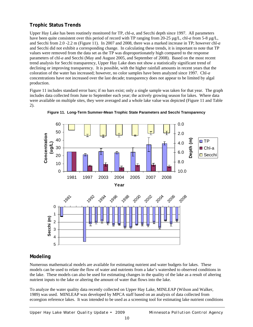## **Trophic Status Trends**

Upper Hay Lake has been routinely monitored for TP, chl-*a*, and Secchi depth since 1997. All parameters have been quite consistent over this period of record with TP ranging from 20-25  $\mu g/L$ , chl-*a* from 5-8  $\mu g/L$ , and Secchi from 2.0 -2.2 m (Figure 11). In 2007 and 2008, there was a marked increase in TP; however chl-*a*  and Secchi did not exhibit a corresponding change. In calculating these trends, it is important to note that TP values were removed from the data set as the TP was disproportionately high compared to the response parameters of chl-*a* and Secchi (May and August 2005, and September of 2008). Based on the most recent trend analysis for Secchi transparency, Upper Hay Lake does not show a statistically significant trend of declining or improving transparency. It is possible, with the higher rainfall amounts in recent years that the coloration of the water has increased; however, no color samples have been analyzed since 1997. Chl-*a* concentrations have not increased over the last decade; transparency does not appear to be limited by algal production.

Figure 11 includes standard error bars; if no bars exist; only a single sample was taken for that year. The graph includes data collected from June to September each year; the actively growing season for lakes. Where data were available on multiple sites, they were averaged and a whole lake value was depicted (Figure 11 and Table 2).



**Figure 11. Long-Term Summer-Mean Trophic State Parameters and Secchi Transparency** 

### **Modeling**

Numerous mathematical models are available for estimating nutrient and water budgets for lakes. These models can be used to relate the flow of water and nutrients from a lake's watershed to observed conditions in the lake. These models can also be used for estimating changes in the quality of the lake as a result of altering nutrient inputs to the lake or altering the amount of water that flows into the lake.

To analyze the water quality data recently collected on Upper Hay Lake, MINLEAP (Wilson and Walker, 1989) was used. MINLEAP was developed by MPCA staff based on an analysis of data collected from ecoregion reference lakes. It was intended to be used as a screening tool for estimating lake nutrient conditions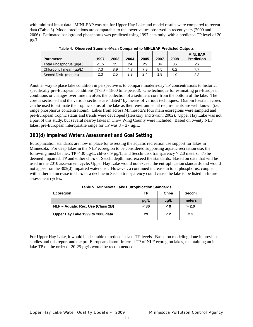with minimal input data. MINLEAP was run for Upper Hay Lake and model results were compared to recent data (Table 3). Model predictions are comparable to the lower values observed in recent years (2000 and 2006). Estimated background phosphorus was predicted using 1997 data only, with a predicted TP level of 20  $\mu$ g/L.

| <b>Parameter</b>        | 1997 | 2003 | 2004 | 2005 | 2007 | 2008 | <b>MINLEAP</b><br><b>Prediction</b> |
|-------------------------|------|------|------|------|------|------|-------------------------------------|
| Total Phosphorus (µq/L) | 21.5 | 25   | 24   | 25   | 34   | 36   | 26                                  |
| Chlorophyll mean (µg/L) | 7.3  | 8.9  | 4.7  | 7.8  | 8.5  | 6.2  | 7.7                                 |
| Secchi Disk<br>(meters) | 2.3  | 2.5  | 2.3  | 2.4  | 1.9  | 1.9  | 2.3                                 |

**Table 4. Observed Summer-Mean Compared to MINLEAP Predicted Outputs** 

Another way to place lake condition in perspective is to compare modern-day TP concentrations to historic, specifically pre-European conditions (1750 – 1800 time period). One technique for estimating pre-European conditions or changes over time involves the collection of a sediment core from the bottom of the lake. The core is sectioned and the various sections are "dated" by means of various techniques. Diatom fossils in cores can be used to estimate the trophic status of the lake as their environmental requirements are well known (i.e. range phosphorus concentrations). Lakes from across Minnesota's four main ecoregions were sampled and pre-European trophic status and trends were developed (Heiskary and Swain, 2002). Upper Hay Lake was not a part of this study, but several nearby lakes in Crow Wing County were included. Based on twenty NLF lakes, pre-European interquartile range for TP was  $8 - 27 \mu$ g/L.

### **303(d) Impaired Waters Assessment and Goal Setting**

Eutrophication standards are now in place for assessing the aquatic recreation use support for lakes in Minnesota. For deep lakes in the NLF ecoregion to be considered supporting aquatic recreation use, the following must be met:  $TP < 30 \mu g/L$ , chl- $a < 9 \mu g/L$ , and Secchi disk transparency  $> 2.0$  meters. To be deemed impaired, TP and either chl-*a* or Secchi depth must exceed the standards. Based on data that will be used in the 2010 assessment cycle, Upper Hay Lake would not exceed the eutrophication standards and would not appear on the 303(d) impaired waters list. However, a continued increase in total phosphorus, coupled with either an increase in chl-*a* or a decline in Secchi transparency could cause the lake to be listed in future assessment cycles.

| <b>Ecoregion</b>                  | <b>TP</b> | Chl-a     | Secchi |
|-----------------------------------|-----------|-----------|--------|
|                                   | $\mu$ g/L | $\mu$ g/L | meters |
| NLF – Aquatic Rec. Use (Class 2B) | < 30      | 9 >       | > 2.0  |
| Upper Hay Lake 1999 to 2008 data  | 29        | 7.2       | 2.2    |

**Table 5. Minnesota Lake Eutrophication Standards** 

For Upper Hay Lake, it would be desirable to reduce in-lake TP levels. Based on modeling done in previous studies and this report and the pre-European diatom-inferred TP of NLF ecoregion lakes, maintaining an inlake TP on the order of 20-25  $\mu$ g/L would be recommended.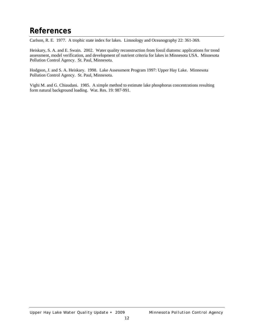## **References**

Carlson, R. E. 1977. A trophic state index for lakes. Limnology and Oceanography 22: 361-369.

Heiskary, S. A. and E. Swain. 2002. Water quality reconstruction from fossil diatoms: applications for trend assessment, model verification, and development of nutrient criteria for lakes in Minnesota USA. Minnesota Pollution Control Agency. St. Paul, Minnesota.

Hodgson, J. and S. A. Heiskary. 1998. Lake Assessment Program 1997: Upper Hay Lake. Minnesota Pollution Control Agency. St. Paul, Minnesota.

Vighi M. and G. Chiaudani. 1985. A simple method to estimate lake phosphorus concentrations resulting form natural background loading. Wat. Res. 19: 987-991.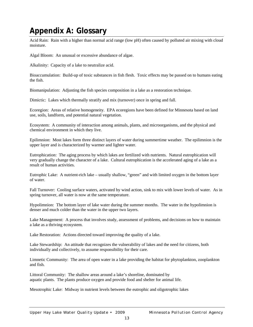## **Appendix A: Glossary**

Acid Rain: Rain with a higher than normal acid range (low pH) often caused by polluted air mixing with cloud moisture.

Algal Bloom: An unusual or excessive abundance of algae.

Alkalinity: Capacity of a lake to neutralize acid.

Bioaccumulation: Build-up of toxic substances in fish flesh. Toxic effects may be passed on to humans eating the fish.

Biomanipulation: Adjusting the fish species composition in a lake as a restoration technique.

Dimictic: Lakes which thermally stratify and mix (turnover) once in spring and fall.

Ecoregion: Areas of relative homogeneity. EPA ecoregions have been defined for Minnesota based on land use, soils, landform, and potential natural vegetation.

Ecosystem: A community of interaction among animals, plants, and microorganisms, and the physical and chemical environment in which they live.

Epilimnion: Most lakes form three distinct layers of water during summertime weather. The epilimnion is the upper layer and is characterized by warmer and lighter water.

Eutrophication: The aging process by which lakes are fertilized with nutrients. Natural eutrophication will very gradually change the character of a lake. Cultural eutrophication is the accelerated aging of a lake as a result of human activities.

Eutrophic Lake: A nutrient-rich lake – usually shallow, "green" and with limited oxygen in the bottom layer of water.

Fall Turnover: Cooling surface waters, activated by wind action, sink to mix with lower levels of water. As in spring turnover, all water is now at the same temperature.

Hypolimnion: The bottom layer of lake water during the summer months. The water in the hypolimnion is denser and much colder than the water in the upper two layers.

Lake Management: A process that involves study, assessment of problems, and decisions on how to maintain a lake as a thriving ecosystem.

Lake Restoration: Actions directed toward improving the quality of a lake.

Lake Stewardship: An attitude that recognizes the vulnerability of lakes and the need for citizens, both individually and collectively, to assume responsibility for their care.

Limnetic Community: The area of open water in a lake providing the habitat for phytoplankton, zooplankton and fish.

Littoral Community: The shallow areas around a lake's shoreline, dominated by aquatic plants. The plants produce oxygen and provide food and shelter for animal life.

Mesotrophic Lake: Midway in nutrient levels between the eutrophic and oligotrophic lakes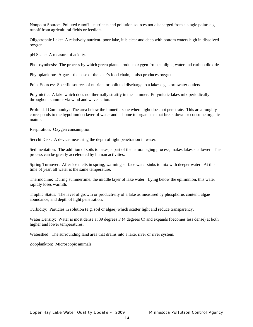Nonpoint Source: Polluted runoff – nutrients and pollution sources not discharged from a single point: e.g. runoff from agricultural fields or feedlots.

Oligotrophic Lake: A relatively nutrient- poor lake, it is clear and deep with bottom waters high in dissolved oxygen.

pH Scale: A measure of acidity.

Photosynthesis: The process by which green plants produce oxygen from sunlight, water and carbon dioxide.

Phytoplankton: Algae – the base of the lake's food chain, it also produces oxygen.

Point Sources: Specific sources of nutrient or polluted discharge to a lake: e.g. stormwater outlets.

Polymictic: A lake which does not thermally stratify in the summer. Polymictic lakes mix periodically throughout summer via wind and wave action.

Profundal Community: The area below the limnetic zone where light does not penetrate. This area roughly corresponds to the hypolimnion layer of water and is home to organisms that break down or consume organic matter.

Respiration: Oxygen consumption

Secchi Disk: A device measuring the depth of light penetration in water.

Sedimentation: The addition of soils to lakes, a part of the natural aging process, makes lakes shallower. The process can be greatly accelerated by human activities.

Spring Turnover: After ice melts in spring, warming surface water sinks to mix with deeper water. At this time of year, all water is the same temperature.

Thermocline: During summertime, the middle layer of lake water. Lying below the epilimnion, this water rapidly loses warmth.

Trophic Status: The level of growth or productivity of a lake as measured by phosphorus content, algae abundance, and depth of light penetration.

Turbidity: Particles in solution (e.g. soil or algae) which scatter light and reduce transparency.

Water Density: Water is most dense at 39 degrees F (4 degrees C) and expands (becomes less dense) at both higher and lower temperatures.

Watershed: The surrounding land area that drains into a lake, river or river system.

Zooplankton: Microscopic animals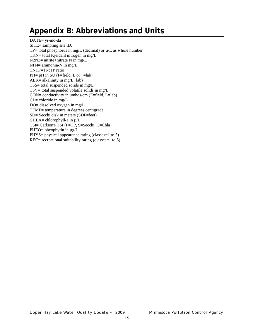## **Appendix B: Abbreviations and Units**

DATE= yr-mo-da SITE= sampling site ID, TP= total phosphorus in mg/L (decimal) or  $\mu/L$  as whole number TKN= total Kjeldahl nitrogen in mg/L N2N3= nitrite+nitrate N in mg/L NH4= ammonia-N in mg/L TNTP=TN:TP ratio PH=  $pH$  in SU (F=field, L or  $_$ =lab)  $ALK=$  alkalinity in mg/L (lab) TSS= total suspended solids in mg/L  $TSV = total$  suspended volatile solids in mg/L CON= conductivity in umhos/cm (F=field, L=lab)  $CL=$  chloride in mg/L DO= dissolved oxygen in mg/L TEMP= temperature in degrees centigrade SD= Secchi disk in meters (SDF=feet) CHLA= chlorophyll-a in  $\mu/L$ TSI= Carlson's TSI (P=TP, S=Secchi, C=Chla) PHEO= pheophytin in  $\mu$ g/L PHYS= physical appearance rating (classes=1 to 5) REC= recreational suitability rating (classes=1 to 5)